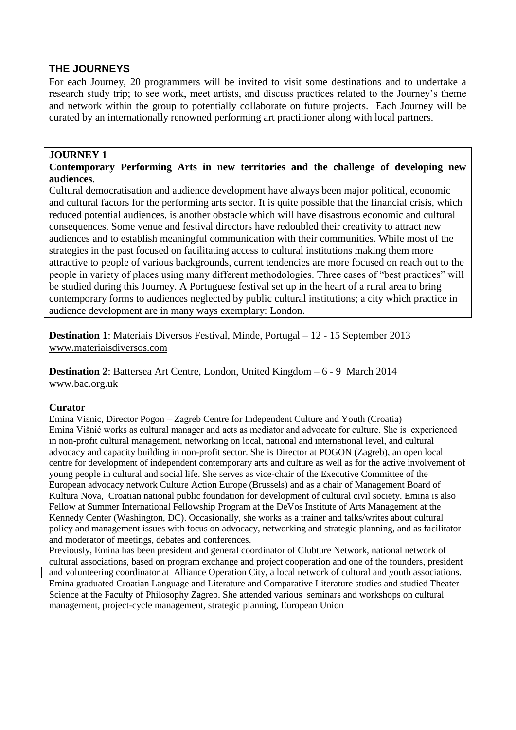# **THE JOURNEYS**

For each Journey, 20 programmers will be invited to visit some destinations and to undertake a research study trip; to see work, meet artists, and discuss practices related to the Journey's theme and network within the group to potentially collaborate on future projects. Each Journey will be curated by an internationally renowned performing art practitioner along with local partners.

#### **JOURNEY 1**

### **Contemporary Performing Arts in new territories and the challenge of developing new audiences**.

Cultural democratisation and audience development have always been major political, economic and cultural factors for the performing arts sector. It is quite possible that the financial crisis, which reduced potential audiences, is another obstacle which will have disastrous economic and cultural consequences. Some venue and festival directors have redoubled their creativity to attract new audiences and to establish meaningful communication with their communities. While most of the strategies in the past focused on facilitating access to cultural institutions making them more attractive to people of various backgrounds, current tendencies are more focused on reach out to the people in variety of places using many different methodologies. Three cases of "best practices" will be studied during this Journey. A Portuguese festival set up in the heart of a rural area to bring contemporary forms to audiences neglected by public cultural institutions; a city which practice in audience development are in many ways exemplary: London.

**Destination 1**: Materiais Diversos Festival, Minde, Portugal – 12 - 15 September 2013 [www.materiaisdiversos.com](http://www.materiaisdiversos.com/)

**Destination 2**: Battersea Art Centre, London, United Kingdom – 6 - 9 March 2014 [www.bac.org.uk](http://www.bac.org.uk/)

#### **Curator**

Emina Visnic, Director Pogon – Zagreb Centre for Independent Culture and Youth (Croatia) Emina Višnić works as cultural manager and acts as mediator and advocate for culture. She is experienced in non-profit cultural management, networking on local, national and international level, and cultural advocacy and capacity building in non-profit sector. She is Director at POGON (Zagreb), an open local centre for development of independent contemporary arts and culture as well as for the active involvement of young people in cultural and social life. She serves as vice-chair of the Executive Committee of the European advocacy network Culture Action Europe (Brussels) and as a chair of Management Board of Kultura Nova, Croatian national public foundation for development of cultural civil society. Emina is also Fellow at Summer International Fellowship Program at the DeVos Institute of Arts Management at the Kennedy Center (Washington, DC). Occasionally, she works as a trainer and talks/writes about cultural policy and management issues with focus on advocacy, networking and strategic planning, and as facilitator and moderator of meetings, debates and conferences.

Previously, Emina has been president and general coordinator of Clubture Network, national network of cultural associations, based on program exchange and project cooperation and one of the founders, president and volunteering coordinator at Alliance Operation City, a local network of cultural and youth associations. Emina graduated Croatian Language and Literature and Comparative Literature studies and studied Theater Science at the Faculty of Philosophy Zagreb. She attended various seminars and workshops on cultural management, project-cycle management, strategic planning, European Union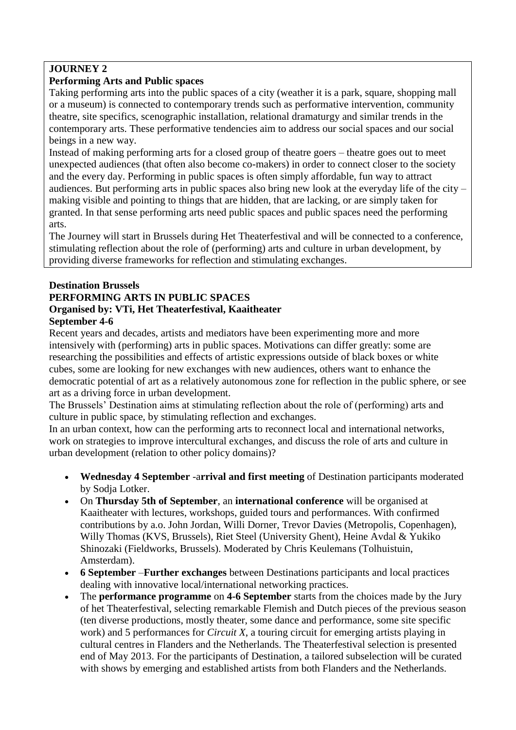# **JOURNEY 2**

# **Performing Arts and Public spaces**

Taking performing arts into the public spaces of a city (weather it is a park, square, shopping mall or a museum) is connected to contemporary trends such as performative intervention, community theatre, site specifics, scenographic installation, relational dramaturgy and similar trends in the contemporary arts. These performative tendencies aim to address our social spaces and our social beings in a new way.

Instead of making performing arts for a closed group of theatre goers – theatre goes out to meet unexpected audiences (that often also become co-makers) in order to connect closer to the society and the every day. Performing in public spaces is often simply affordable, fun way to attract audiences. But performing arts in public spaces also bring new look at the everyday life of the city – making visible and pointing to things that are hidden, that are lacking, or are simply taken for granted. In that sense performing arts need public spaces and public spaces need the performing arts.

The Journey will start in Brussels during Het Theaterfestival and will be connected to a conference, stimulating reflection about the role of (performing) arts and culture in urban development, by providing diverse frameworks for reflection and stimulating exchanges.

# **Destination Brussels PERFORMING ARTS IN PUBLIC SPACES Organised by: VTi, Het Theaterfestival, Kaaitheater**

# **September 4-6**

Recent years and decades, artists and mediators have been experimenting more and more intensively with (performing) arts in public spaces. Motivations can differ greatly: some are researching the possibilities and effects of artistic expressions outside of black boxes or white cubes, some are looking for new exchanges with new audiences, others want to enhance the democratic potential of art as a relatively autonomous zone for reflection in the public sphere, or see art as a driving force in urban development.

The Brussels' Destination aims at stimulating reflection about the role of (performing) arts and culture in public space, by stimulating reflection and exchanges.

In an urban context, how can the performing arts to reconnect local and international networks, work on strategies to improve intercultural exchanges, and discuss the role of arts and culture in urban development (relation to other policy domains)?

- **Wednesday 4 September** -a**rrival and first meeting** of Destination participants moderated by Sodja Lotker.
- On **Thursday 5th of September**, an **international conference** will be organised at Kaaitheater with lectures, workshops, guided tours and performances. With confirmed contributions by a.o. John Jordan, Willi Dorner, Trevor Davies (Metropolis, Copenhagen), Willy Thomas (KVS, Brussels), Riet Steel (University Ghent), Heine Avdal & Yukiko Shinozaki (Fieldworks, Brussels). Moderated by Chris Keulemans (Tolhuistuin, Amsterdam).
- **6 September** –**Further exchanges** between Destinations participants and local practices dealing with innovative local/international networking practices.
- The **performance programme** on **4-6 September** starts from the choices made by the Jury of het Theaterfestival, selecting remarkable Flemish and Dutch pieces of the previous season (ten diverse productions, mostly theater, some dance and performance, some site specific work) and 5 performances for *Circuit X*, a touring circuit for emerging artists playing in cultural centres in Flanders and the Netherlands. The Theaterfestival selection is presented end of May 2013. For the participants of Destination, a tailored subselection will be curated with shows by emerging and established artists from both Flanders and the Netherlands.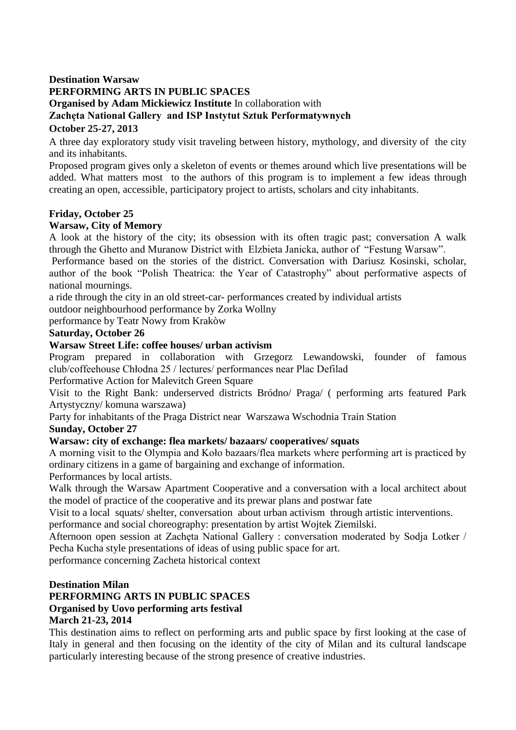## **Destination Warsaw PERFORMING ARTS IN PUBLIC SPACES Organised by Adam Mickiewicz Institute** In collaboration with **Zachęta National Gallery and ISP Instytut Sztuk Performatywnych October 25-27, 2013**

A three day exploratory study visit traveling between history, mythology, and diversity of the city and its inhabitants.

Proposed program gives only a skeleton of events or themes around which live presentations will be added. What matters most to the authors of this program is to implement a few ideas through creating an open, accessible, participatory project to artists, scholars and city inhabitants.

## **Friday, October 25**

## **Warsaw, City of Memory**

A look at the history of the city; its obsession with its often tragic past; conversation A walk through the Ghetto and Muranow District with Elzbieta Janicka, author of "Festung Warsaw".

Performance based on the stories of the district. Conversation with Dariusz Kosinski, scholar, author of the book "Polish Theatrica: the Year of Catastrophy" about performative aspects of national mournings.

a ride through the city in an old street-car- performances created by individual artists

outdoor neighbourhood performance by Zorka Wollny

performance by Teatr Nowy from Krakòw

### **Saturday, October 26**

### **Warsaw Street Life: coffee houses/ urban activism**

Program prepared in collaboration with Grzegorz Lewandowski, founder of famous club/coffeehouse Chłodna 25 / lectures/ performances near Plac Defilad

Performative Action for Malevitch Green Square

Visit to the Right Bank: underserved districts Bródno/ Praga/ ( performing arts featured Park Artystyczny/ komuna warszawa)

Party for inhabitants of the Praga District near Warszawa Wschodnia Train Station

#### **Sunday, October 27**

## **Warsaw: city of exchange: flea markets/ bazaars/ cooperatives/ squats**

A morning visit to the Olympia and Koło bazaars/flea markets where performing art is practiced by ordinary citizens in a game of bargaining and exchange of information.

Performances by local artists.

Walk through the Warsaw Apartment Cooperative and a conversation with a local architect about the model of practice of the cooperative and its prewar plans and postwar fate

Visit to a local squats/ shelter, conversation about urban activism through artistic interventions. performance and social choreography: presentation by artist Wojtek Ziemilski.

Afternoon open session at Zachęta National Gallery : conversation moderated by Sodja Lotker / Pecha Kucha style presentations of ideas of using public space for art.

performance concerning Zacheta historical context

#### **Destination Milan**

# **PERFORMING ARTS IN PUBLIC SPACES**

# **Organised by Uovo performing arts festival**

## **March 21-23, 2014**

This destination aims to reflect on performing arts and public space by first looking at the case of Italy in general and then focusing on the identity of the city of Milan and its cultural landscape particularly interesting because of the strong presence of creative industries.